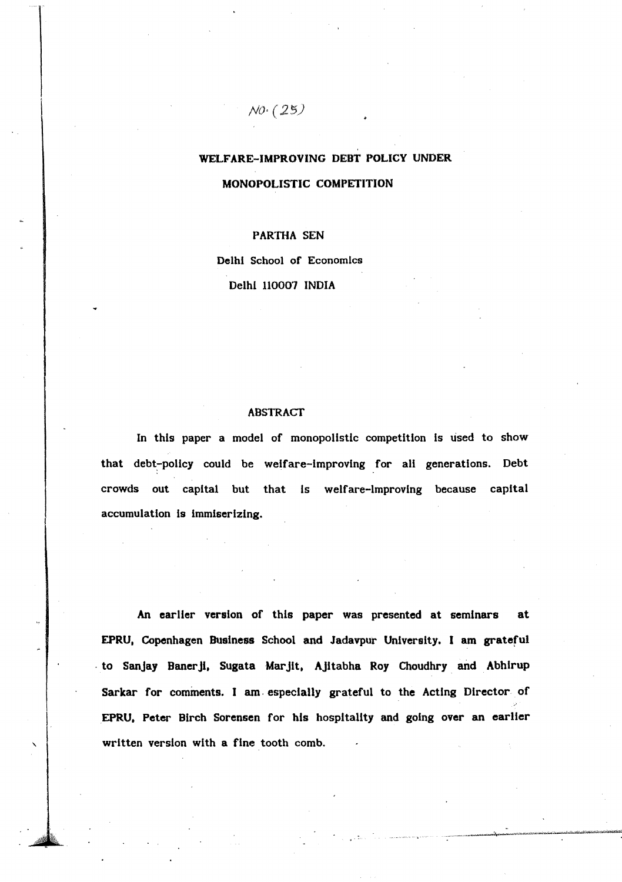# WELfARE-IMPROVING DEBT POLICY UNDER MONOPOLISTIC COMPETITION

## PARTHA SEN

 $NO(25)$ 

Delhi School of EconomIcs Delhi 110007 INDIA

#### ABSTRACT

In this paper a model of monopolistic competition Is used to show that debt-policy could be welfare-improving for all generations. Debt crowds out capital but that Is welfare-Improving because capital accumulation is immiserizing.

An earller version of this paper was presented at seminars at EPRU. Copenhagen Business School and Jadavpur University. I am grateful to Sanjay Banerji, Sugata Marjit, Ajitabha Roy Choudhry and Abhirup Sarkar for comments. I am· especially grateful to the Acting Director of EPRU. Peter Birch Sorensen for his hospitality and going over an earlier written version with a fine tooth comb.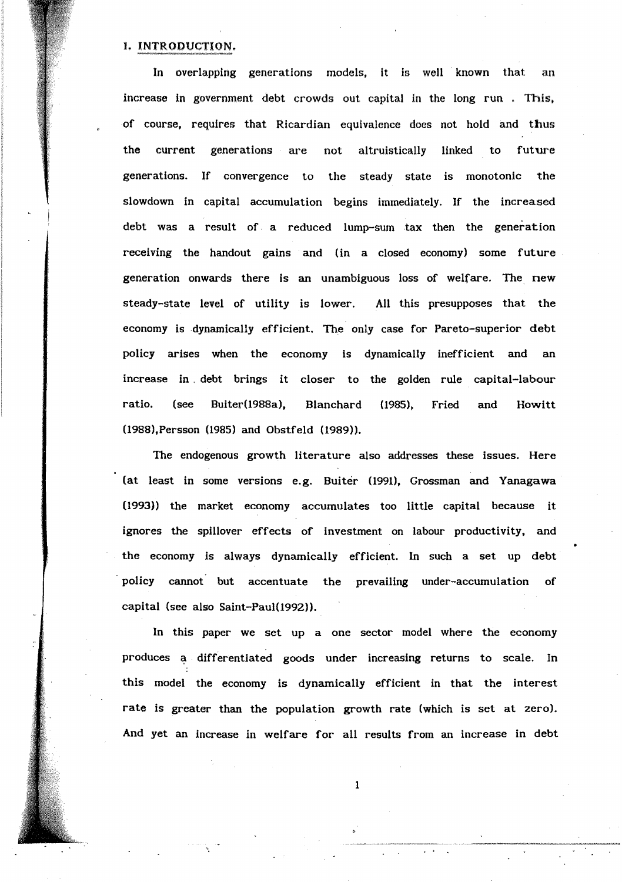## 1. INTRODUCTION.

In overlapping generations models, it is well known that an increase in government debt crowds out capital in the long run . This, of course, requires that Ricardian equivalence does not hold and thus the current generations are not altruistically linked to future generations. If convergence to the steady state is monotonic the slowdown in capital accumulation begins immediately. If the increased debt was a result of. a reduced lump-sum tax then the generation receiving the handout gains and (in a closed economy) some future generation onwards there is an unambiguous loss of welfare. The new steady-state level of utility is lower. All this presupposes that the economy is dynamically efficient. The only case for Pareto-superior debt policy arises when the economy is dynamically inefficient and an increase in. debt brings it closer to the golden rule capital-labour ratio. (see Buiter(1988a), Blanchard (1985), Fried and Howitt (1988),Persson (1985) and Obstfeld (1989».

The endogenous growth literature also addresses these issues. Here (at least in some versions e.g. Buiter (1991), Grossman and Yanagawa (1993» the market economy accumulates too little capital because it ignores the spillover effects of investment on labour productivity. and the economy is always dynamically efficient. In such a set up debt . policy cannot but accentuate the prevailing under-accumulation of capital (see also Saint-Paul(1992)).

In this paper we set up a one sector model where the economy produces a differentiated goods under increasing returns to scale. In this model the economy is dynamically efficient in that the interest rate is greater than the population growth rate (which is set at zero). And yet an increase in welfare for all results from an increase in debt

1

 $\overline{\phantom{a}}$ .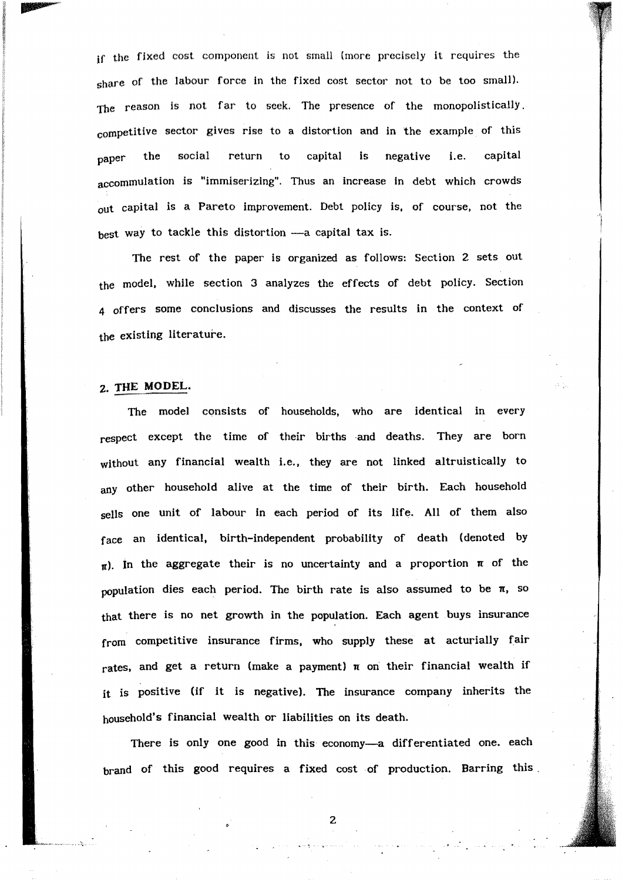if the fixed cost component is not small (more precisely it requires the share of the labour force in the fixed cost sector not to be too small). The reason is not far to seek. The presence of the monopolistically. competitive sector gives rise to a distortion and in the example of this  $_{\rm paper}$  the social return to capital is negative i.e. capital accommulation is "immiserizing". Thus an increase in debt which crowds out capital is a Pareto improvement. Debt policy is, of course, not the best way to tackle this distortion - a capital tax is.

The rest of the paper is organized as follows: Section 2 sets out the model. while section 3 analyzes the effects of debt policy. Section 4 offers some conclusions and discusses the results in the context of the existing literature.

# 2. THE MODEL.

The model consists of households. who are identical in every respect except the time of their births and deaths. They are born without any financial wealth i.e., they are not linked altruistically to any other household alive at the time of their birth. Each household sells one unit of labour in each period of its life. All of them also face an identical. birth-independent probability of death (denoted by  $\pi$ ). In the aggregate their is no uncertainty and a proportion  $\pi$  of the population dies each period. The birth rate is also assumed to be  $\pi$ , so that there is no net growth in the population. Each agent buys insurance from competitive insurance firms. who supply these at acturially fair rates, and get a return (make a payment)  $\pi$  on their financial wealth if it is positive (if it is negative). The insurance company inherits the household'S financial wealth or liabilities on its death.

There is only one good in this economy-a differentiated one. each brand of this good requires a fixed cost of production. Barring this.

.. ';.

2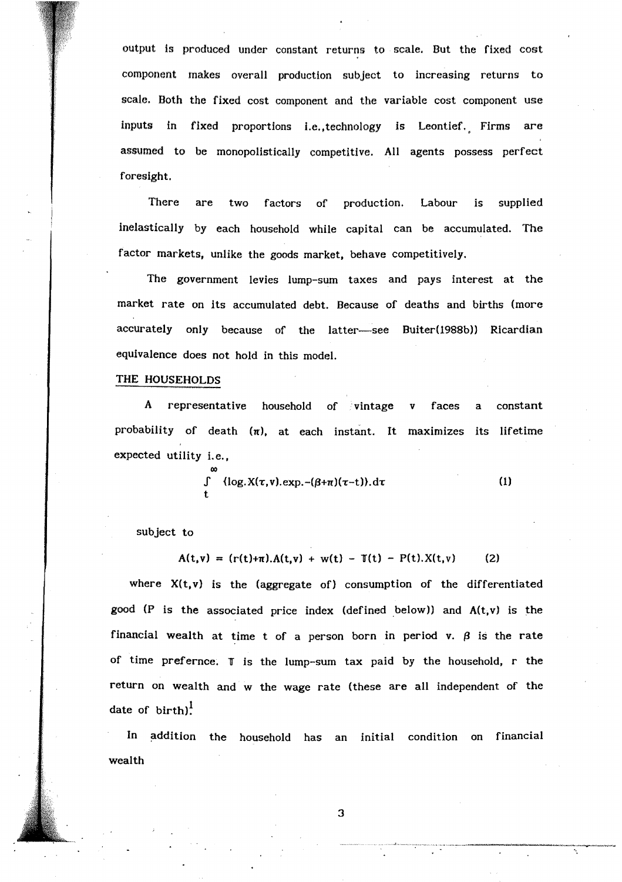output is produced under constant returns to scale. But the fixed cost component makes overall production subject to increasing returns to scale. Both the fixed cost component and the variable cost component use inputs in fixed proportions I.e.; technology is Leontief. Firms are assumed to be monopolistically competitive. All agents possess perfect foresight.

There are two factors of production. Labour is supplied inelastically by each household while capital can be accumulated. The factor markets, unlike the goods market, behave competitively.

The government levies lump-sum taxes and pays interest at the market rate on its accumulated debt. Because of deaths and births (more accurately only because of the latter-see Buiter(1988b)) Ricardian equivalence does not hold in this model.

### THE HOUSEHOLDS

A representative household of vintage v faces a constant probability of death  $(n)$ , at each instant. It maximizes its lifetime expected utility i.e.,

$$
\int_{t}^{\infty} {\log X(\tau, v).exp.-(\beta+\pi)(\tau-t)} \, \mathrm{d}\tau \tag{1}
$$

subject to

$$
A(t,v) = (r(t)+\pi) A(t,v) + w(t) - T(t) - P(t) X(t,v)
$$
 (2)

where  $X(t, v)$  is the (aggregate of) consumption of the differentiated good (P is the associated price index (defined below)) and  $A(t,v)$  is the financial wealth at time t of a person born in period v.  $\beta$  is the rate of time prefernce.  $I$  is the lump-sum tax paid by the household, r the return on wealth and w the wage rate (these are all independent of the date of  $\text{birth}$ !

In addition the household has an initial condition on financial wealth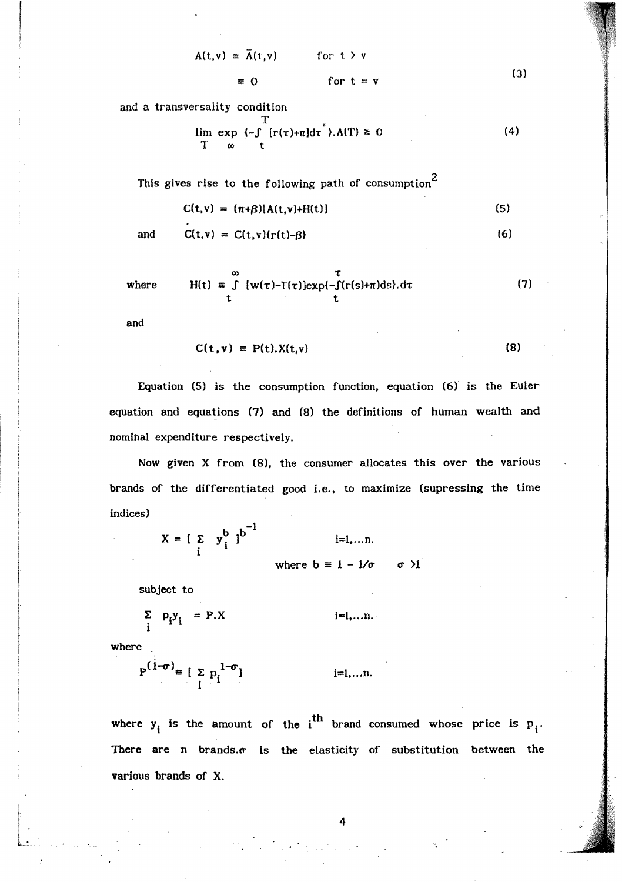$$
A(t,v) = \overline{A}(t,v) \qquad \text{for } t > v
$$
  
\n
$$
= 0 \qquad \text{for } t = v
$$
 (3)

and a transversality condition

$$
\lim_{T \to \infty} \frac{T}{t - \int_{0}^{T} [r(\tau) + \pi] d\tau}, A(T) \geq 0
$$
 (4)

This gives rise to the following path of consumption<sup>2</sup>

$$
C(t,v) = (\pi+\beta)[A(t,v)+H(t)]
$$
\n(5)

and 
$$
C(t,v) = C(t,v)\{r(t)-\beta\}
$$
 (6)

where 
$$
H(t) = \int_{t}^{\infty} [w(\tau)-\mathbb{I}(\tau)]exp(-\int_{t}^{\tau} (r(s)+\pi)ds).d\tau
$$
 (7)

and

$$
C(t, v) = P(t).X(t, v)
$$
 (8)

Equation (5) is the consumption function, equation (6) is the Euler equation and equations (7) and (8) the definitions of human wealth and nominal expenditure respectively.

Now given X from (8), the consumer allocates this over the various brands of the differentiated good i.e., to maximize (supressing the time indices)

> $X = [\sum_{i} y_i^{b} ]^{b^{-1}}$  $i=1, \ldots n$ .

where  $b \equiv 1 - 1/\sigma$   $\sigma$  )1

subject to

$$
\sum_{i} p_{i} y_{i} = P.X \qquad i=1,...n.
$$

where

$$
P^{(1-\sigma)} \equiv [\sum_{i} p_i^{1-\sigma}] \qquad \qquad i=1,...n.
$$

where  $y_i$  is the amount of the i<sup>th</sup> brand consumed whose price is  $p_i$ . There are n brands. $\sigma$  is the elasticity of substitution between the various brands of X.

4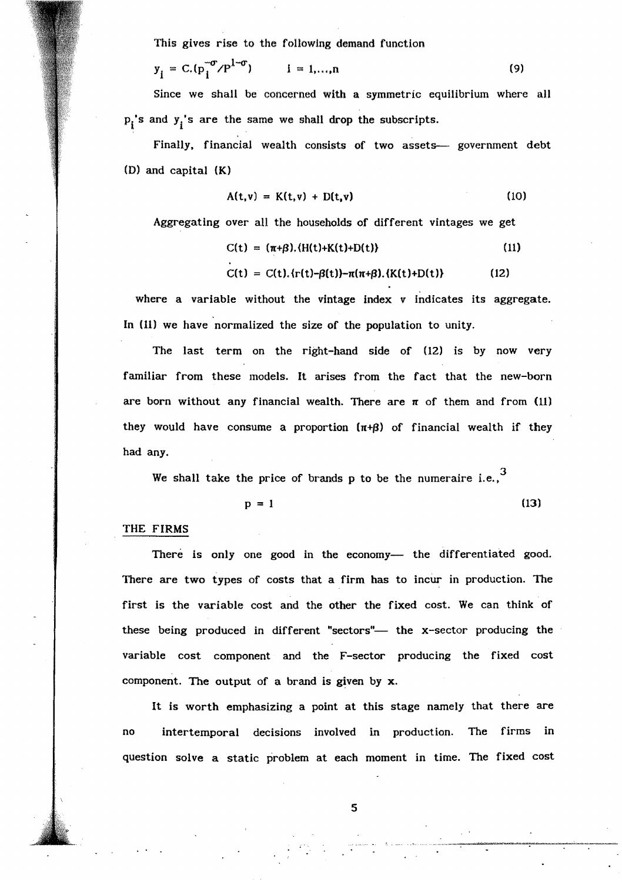This gives rise to the following demand function

$$
y_{i} = C.(p_{i}^{-\sigma}/P^{1-\sigma})
$$
  $i = 1,...,n$  (9)

Since we shall be concerned with a symmetric equilibrium where all  $p_i$ 's and  $y_i$ 's are the same we shall drop the subscripts.

Finally, financial wealth consists of two assets— government debt (D) and capital  $(K)$ 

$$
A(t,v) = K(t,v) + D(t,v) \qquad (10)
$$

Aggregating over all the households of different vintages we get

$$
C(t) = (\pi + \beta) \cdot (H(t) + K(t) + D(t))
$$
 (11)

 $C(t) = C(t) \cdot {r(t)-\beta(t)}-\pi(\pi+\beta) \cdot {K(t)+D(t)}$  (12)

where a variable without the vintage index v indicates its aggregate. In (11) we have normalized the size of the population to unity.

The last term on the right-hand side of  $(12)$  is by now very familiar from these models. It arises from the fact that the new-born are born without any financial wealth. There are  $\pi$  of them and from (11) they would have consume a proportion  $(\pi + \beta)$  of financial wealth if they had any.

We shall take the price of brands p to be the numeraire i.e.,  $3$ 

 $p = 1$  (13)

#### THE FIRMS

There is only one good in the economy- the differentiated good. There are two types of costs that a firm has to incur in production. The first is the variable cost and the other the fixed cost. We can think of these being produced in different "sectors"— the x-sector producing the variable cost component and the F-sector producing the fixed cost component. The output of a brand is given by x.

It is worth emphasizing a point at this stage namely that there are no intertemporal decisions involved in production. The firms in question solve a static problem at each moment in time. The fixed cost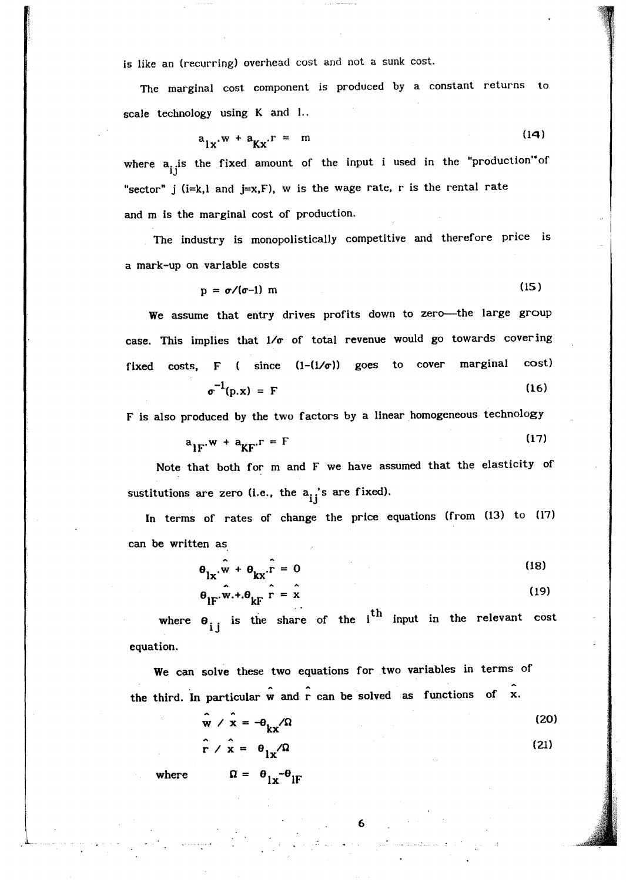is like an (recurring) overhead cost and not a sunk cost.

The marginal cost component is produced by a constant returns to scale technology using K and 1..

$$
a_{1\ldots} \cdot w + a_{\nu\ldots} \cdot r = m \tag{14}
$$

where  $a_{ij}$  is the fixed amount of the input i used in the "production" of "sector" j ( $i=k, l$  and  $j=x, F$ ), w is the wage rate, r is the rental rate and m is the marginal cost of production.

The industry is monopolistically competitive and therefore price is a mark-up on variable costs

$$
p = \sigma/(\sigma-1) \text{ m} \tag{15}
$$

We assume that entry drives profits down to zero---the large group case. This implies that  $1/\sigma$  of total revenue would go towards covering fixed costs, F ( since  $(1-(1/\sigma))$  goes to cover marginal cost)  $\sigma^{-1}$ (p.x) = F (16)

F is also produced by the two factors by a linear homogeneous technology

$$
a_{1F} \cdot w + a_{KF} \cdot r = F \tag{17}
$$

Note that both for m and F we have assumed that the elasticity of sustitutions are zero (i.e., the  $a_{ij}$ 's are fixed).

In terms of rates of change the price equations (from (13) to (17) can be written as

$$
\theta_{1x} \cdot \hat{w} + \theta_{kx} \cdot \hat{r} = 0
$$
\n(18)\n  
\n
$$
\theta_{1F} \cdot \hat{w} + \theta_{kF} \cdot \hat{r} = \hat{x}
$$
\n(19)

where  $\theta_{i i}$  is the share of the  $i$ <sup>th</sup> input in the relevant cost equation.

We can solve these two equations for two variables in terms of the third. In particular  $\hat{w}$  and  $\hat{r}$  can be solved as functions of x.

$$
\mathbf{w} \times \mathbf{x} = -\theta_{\mathbf{k}\mathbf{x}} / \Omega
$$
 (20)  

$$
\mathbf{\hat{r}} \times \mathbf{\hat{x}} = \theta_{\mathbf{k}\mathbf{x}} / \Omega
$$
 (21)

 $\begin{bmatrix} 6 \end{bmatrix}$ 

where  $\qquad \qquad \Omega = \Theta_{1x} - \Theta_{1F}$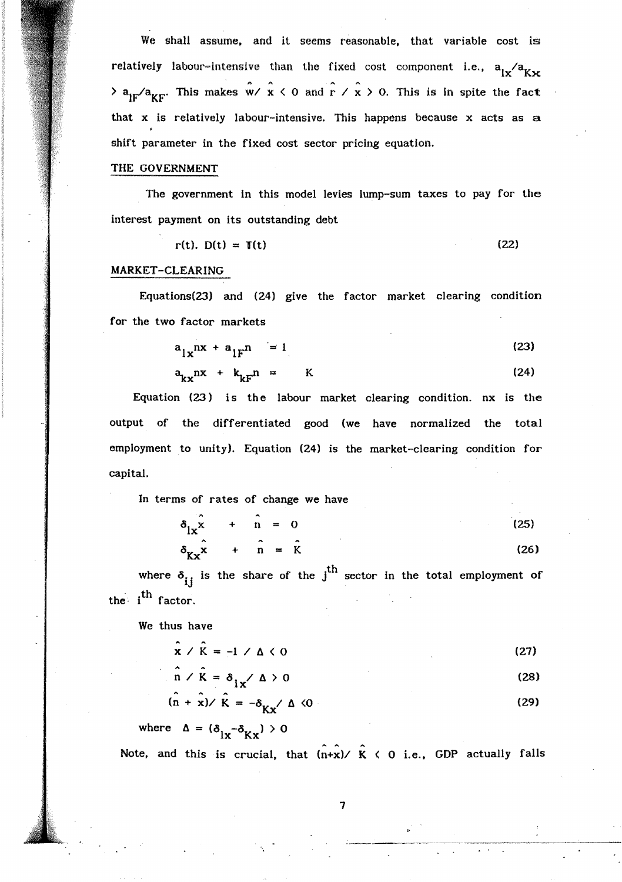We shall assume. and it seems reasonable, that variable cost is relatively labour-intensive than the fixed cost component i.e.,  $a_{1x}/a_{Kx}$  $\lambda$  a<sub>IF</sub>/a<sub>KF</sub>. This makes  $\hat{w}$ /  $\hat{x}$  < 0 and  $\hat{r}$  /  $\hat{x}$  > 0. This is in spite the fact that x is relatively labour-intensive. This happens because x acts as a shift parameter in the fixed cost sector pricing equation.

#### THE GOVERNMENT

The government in this model levies lump-sum taxes to pay for the interest payment on its outstanding debt

 $r(t)$ .  $D(t) = T(t)$  (22)

## MARKET-CLEARING

Equations(23) and (24) give the factor market clearing condition for the two factor markets

$$
a_{1x}nx + a_{1F}n = 1 \tag{23}
$$

$$
a_{kx}nx + k_{kF}n = K \qquad (24)
$$

Equation (23) is the labour market clearing condition. nx is the output of the differentiated good (we have normalized the total employment to unity). Equation (24) is the market-clearing condition for capital.

In terms of rates of change we have

| .<br>$\delta_{\vert x} x + n = 0$            |                      |  | (25) |      |
|----------------------------------------------|----------------------|--|------|------|
|                                              | $\sim$ $\sim$ $\sim$ |  |      |      |
| $\delta_{\mathbf{r}\cdot\mathbf{x}}$ + n = K |                      |  |      | (26) |

where  $\delta_{ij}$  is the share of the j<sup>th</sup> sector in the total employment of the  $i^{\text{th}}$  factor.

We thus have

 $\hat{x} \times \hat{k} = -1 \times \Delta \le 0$  (27)

$$
\hat{n} \times \hat{k} = \delta_{1x} \times \Delta > 0
$$
 (28)

$$
(\hat{\mathbf{n}} + \hat{\mathbf{x}}) \times \hat{\mathbf{K}} = -\delta_{\mathbf{K}\mathbf{x}} / \Delta \langle 0 \rangle
$$
 (29)

where 
$$
\Delta = (\delta_{1x} - \delta_{Kx}) > 0
$$

Note, and this is crucial, that  $(n+x)/ K$  < 0 i.e., GDP actually falls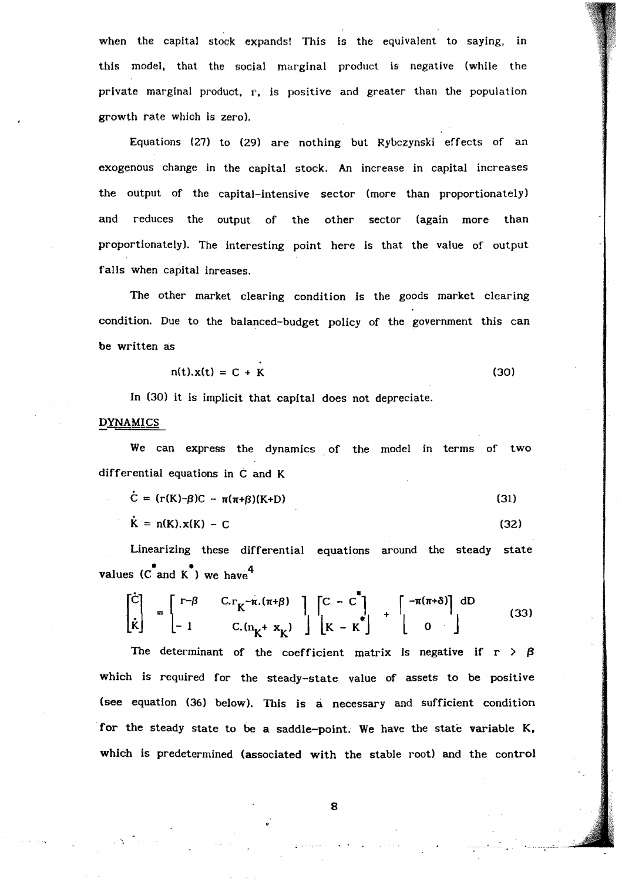when the capital stock expands! This is the equivalent to saying, in this model, that the social marginal product is negative (while the private marginal product,  $r$ , is positive and greater than the population growth rate which is zero).

Equations (27) to (29) are nothing but Rybczynski effects of an exogenous change in the capital stock. An increase in capital increases the output of the capital-intensive sector (more than proportionately) and reduces the output of the other sector (again more than proportionately). The interesting point here is that the value of output falls when capital inreases.

The other market clearing condition is the goods market clearing condition. Due to the balanced-budget policy of the government this can be written as

$$
n(t).x(t) = C + K
$$
 (30)

In (30) it is implicit that capital does not depreciate.

#### D<u>YNAMICS</u>

We can express the dynamics of the model in terms of two differential equations in C and K

$$
\dot{C} = (r(K)-\beta)C - \pi(\pi+\beta)(K+D) \qquad (31)
$$

$$
\dot{\mathbf{K}} = \mathbf{n}(\mathbf{K}).\mathbf{x}(\mathbf{K}) - \mathbf{C}
$$
 (32)

Linearizing these differential equations around the steady state  $k = n(k) \cdot k(k) = C$ <br>Linearizing these dif<br>values  $(c^*$  and  $k^*$ ) we have<sup>4</sup>

$$
\begin{bmatrix} \dot{C} \\ \dot{\kappa} \end{bmatrix} = \begin{bmatrix} r - \beta & C \cdot r_K - \dot{\pi} \cdot (\pi + \beta) \\ -1 & C \cdot (r_K + x_K) \end{bmatrix} \begin{bmatrix} C - C \\ \kappa + \kappa \end{bmatrix} + \begin{bmatrix} -\pi(\pi + \delta) \\ 0 \end{bmatrix} \begin{bmatrix} dD \\ 0 \end{bmatrix} \tag{33}
$$

The determinant of the coefficient matrix is negative if  $r > \beta$ which is required for the steady-state value of assets to be positive (see equation (36) beloW). This is a necessary and sufficient condition for the steady state to be a saddle-point. We have the state variable K. which is predetermined (associated with the stable root) and the control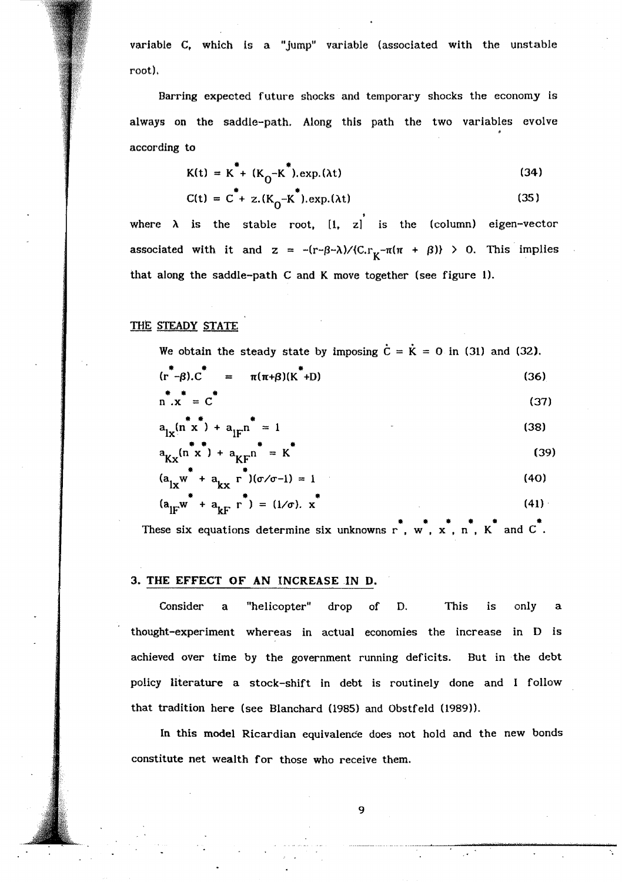variable C. which is a "jump" variable (associated with the unstable root).

Barring expected future shocks and temporary shocks the economy is always on the saddle-path. Along this path the two variables evolve according to

$$
K(t) = K^* + (K_0 - K^*).exp.(\lambda t)
$$
 (34)

$$
C(t) = C^* + z.(K_0 - K^*).exp.(\lambda t)
$$
 (35)

where  $\lambda$  is the stable root,  $\begin{bmatrix} 1 \\ 2 \end{bmatrix}$  is the (column) eigen-vector associated with it and  $z = -(r-\beta-\lambda)/(C_r)_{\kappa} - \pi(\pi + \beta)$  > 0. This implies that along the saddle-path  $C$  and  $K$  move together (see figure 1).

### THE STEADY STATE

e obtain the steady state<br> $*-\beta$ ). $C^* = \pi(\pi+\beta)(K^*)$ We obtain the steady state by imposing  $\dot{C}=\dot{K}=0$  in (31) and (32).  $(r^{\tau} - \beta) \cdot C^{\tau} = \pi(\pi + \beta)(K^{\tau} + D)$  (36)

$$
\frac{1}{n} \cdot x = c^*
$$
 (37)

$$
a_{1x}^{* *}(n * x) + a_{1F}^{*} = 1
$$
\n(38)\n
$$
a_{Kx}(n * x) + a_{KF}^{*} = K
$$
\n(39)

$$
a_{Kx}(n^*x^*) + a_{KF}n^* = K
$$
\n(39)  
\n(a, w^\* + a, r^\*)(\sigma/\sigma-1) = 1 (40)

$$
(\mathbf{a}_{1x}\mathbf{w}^* + \mathbf{a}_{kx}^T)(\sigma/\sigma - 1) = 1
$$
\n
$$
(\mathbf{a}_{1F}\mathbf{w}^* + \mathbf{a}_{kF}^T)^* = (1/\sigma). \mathbf{x}^*
$$
\n(41)

 $(a_{1F}w + a_{kF}r^{*}) = (1/\sigma). x^{*}$  (41)<br>These six equations determine six unknowns r, w, x, n, K and C<sup>\*</sup>.

#### 3. THE EFFECT OF AN INCREASE IN D.

Consider a "helicopter" drop of D. This is only a thought-experiment whereas in actual economies the increase in D is achieved over time by the government running deficits. But in the debt policy literature a stock-shift in debt is routinely done and I follow that tradition here (see Blanchard (1985) and Obstfeld (1989)).

In this model Ricardian equivalence does not hold and the new bonds constitute net wealth for those who receive them.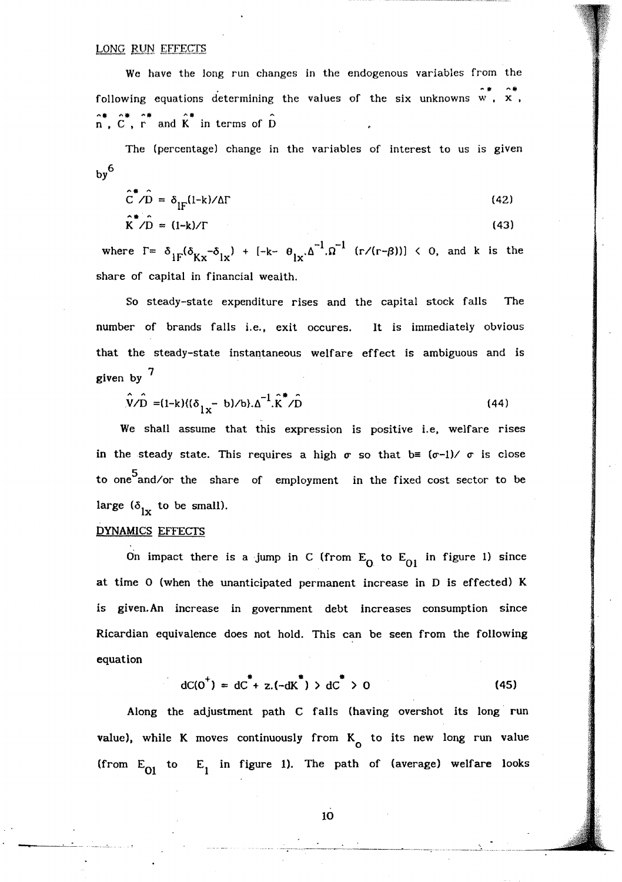We have the long run changes in the endogenous variables from the **.... ., "'.**  following equations determining the values of the six unknowns w,  $\mathbf{x}$ ,  $\hat{n}$ ,  $\hat{c}$ ,  $\hat{r}$  and  $\hat{k}$  in terms of  $\hat{D}$ 

The (percentage) change in the variables of interest to us is given  $by<sup>6</sup>$ 

$$
\hat{C}^* / \hat{D} = \delta_{IF} (l - k) / \Delta \Gamma
$$
 (42)

$$
\hat{\mathbf{K}}^* / \hat{\mathbf{D}} = (\mathbf{1} - \mathbf{k}) / \Gamma
$$
 (43)

where  $\Gamma = \delta_{1F}(\delta_{Kx} - \delta_{1x}) + [-k - \Theta_{1x} \Delta^{-1} \Omega^{-1} \text{ (r/(r-\beta))}] < 0$ , and k is the share of capital in financial wealth.

So steady-state expenditure rises and the capital stock falls The number of brands falls i.e., exit occures. It is immediately obvious that the steady-state instantaneous welfare effect is ambiguous and is given by  $<sup>7</sup>$ </sup>

$$
\hat{\mathbf{V}}/\hat{\mathbf{D}} = (1 - k)\{(\delta_{1x} - b)/b\}.\Delta^{-1}.\hat{\mathbf{K}}^*/\hat{\mathbf{D}} \tag{44}
$$

We shall assume that this expression is positive i.e, welfare rises in the steady state. This requires a high  $\sigma$  so that  $b \equiv (\sigma-1)/\sigma$  is close to one<sup>5</sup>and/or the share of employment in the fixed cost sector to be large ( $\delta_{1x}$  to be small).

## DYNAMICS EFFECTS

On impact there is a jump in C (from  $E_0$  to  $E_{01}$  in figure 1) since at time 0 (when the unanticipated permanent increase in D is effected) K is given.An increase in government debt increases consumption since Ricardian equivalence does not hold. This can be seen from the following equation

$$
dC(0^+) = dC^* + z.(-dK^*) > dC^* > 0
$$
 (45)

Along the adjustment path C falls (having overshot its long' run value), while K moves continuously from  $K_0$  to its new long run value (from  $E_{01}$  to  $E_1$  in figure 1). The path of (average) welfare looks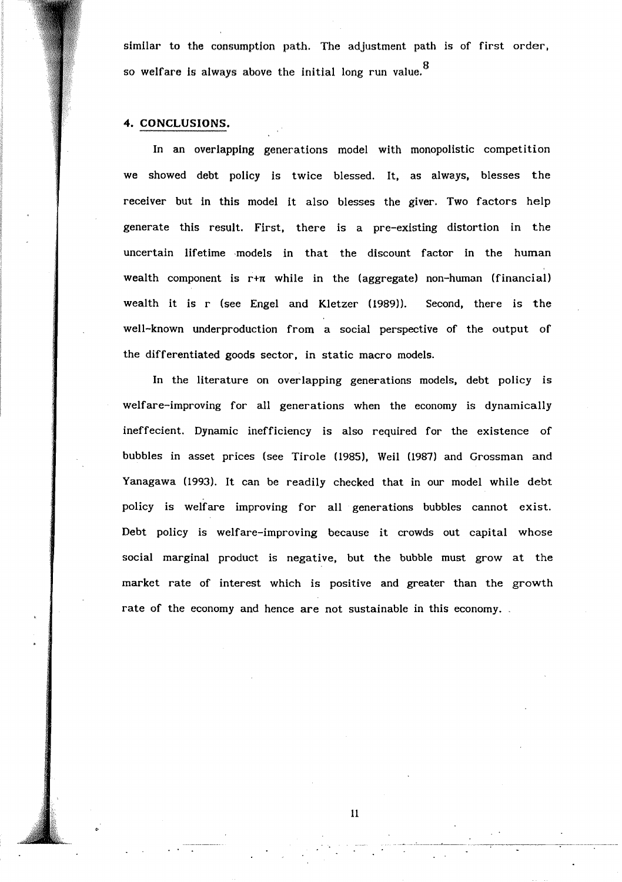similar to the consumption path. The adjustment path is of first order, so welfare is always above the initial long run value. $^{\mathbf{8}}$ 

### 4. CONCLUSIONS.

In an overlapping generations model with monopolistic competition we showed debt policy is twice blessed. It, as always, blesses the receiver but in this model it also blesses the giver. Two factors help generate this result. First, there is a pre-existing distortion in the uncertain lifetime models in that the discount factor in the human wealth component is  $r+\pi$  while in the (aggregate) non-human (financial) wealth it is r (see Engel and Kletzer (1989)). Second, there is the well-known underproduction from a social perspective of the output of the differentiated goods sector, in static macro models.

In the literature on overlapping generations models, debt policy is welfare-improving for all generations when the economy is dynamically ineffecient. Dynamic inefficiency is also required for the existence of bubbles in asset prices (see Tirole (1985), Well (1987) and Grossman and Yanagawa (1993). It can be readily checked that in our model while debt policy is welfare improving for all generations bubbles cannot exist. Debt policy is welfare-improving because it crowds out capital whose social marginal product is negative, but the bubble must grow at the market rate of interest which is positive and greater than the growth rate of the economy and hence are not sustainable in this economy.

11

... '-..-.--.. --~--.- . .\_----;------------.---.-----~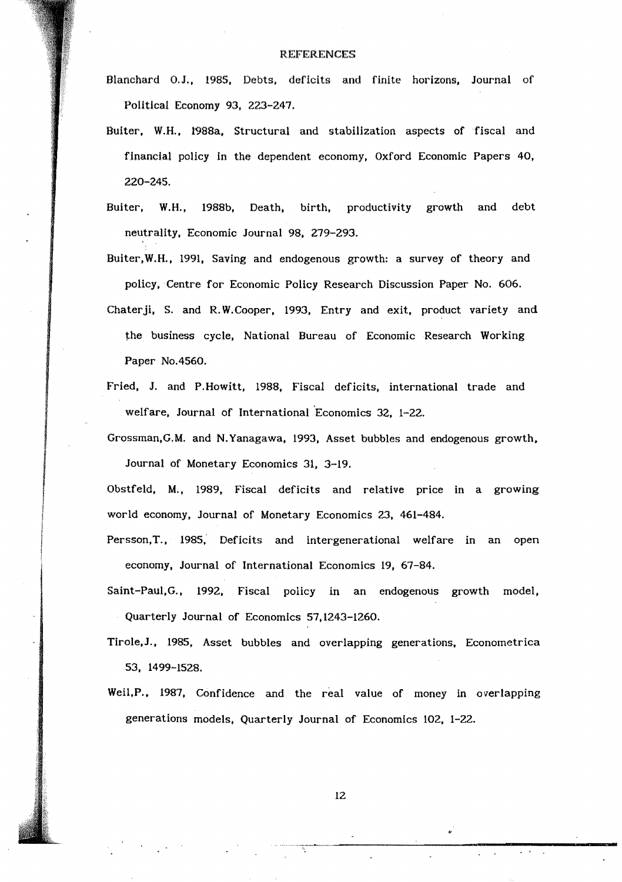#### REFERENCES

Blanchard O.J., 1985, Debts. deficits and finite horizons, Journal of Political Economy 93, 223-247.

- Buiter, W.H., 1988a, Structural and stabilization aspects of fiscal and financial policy in the dependent economy, Oxford Economic Papers 40, 220-245.
- Buiter, W.H., 1988b, Death, birth, productivity growth and debt neutrality, Economic Journal 98, 279-293.

Buiter,W.H., 1991, Saving and endogenous growth: a survey of theory and policy, Centre for Economic Policy Research Discussion Paper No. 606.

- Chaterji, S. and R.W.Cooper, 1993, Entry and exit, product variety and the business cycle, National Bureau of Economic Research Working Paper No.4560.
- Fried, J. and P.Howitt, 1988, Fiscal deficits, international trade and welfare, Journal of International 'Economics 32, 1-22.

Grossman,G.M. and N. Yanagawa, 1993, Asset bubbles and endogenous growth. Journal of Monetary Economics 31, 3-19.

Obstfeld, M., 1989, Fiscal deficits and relative price in a growing world economy, Journal of Monetary Economics 23, 461-484.

- Persson,T., 1985; Deficits and intergenerational welfare in an open economy, Journal of International Economics 19, 67-84.
- Saint-Paul,G., 1992, Fiscal policy in an endogenous growth model, Quarterly Journal of Economics 57,1243-1260.

Tirole,J., 1985, Asset bubbles and overlapping generations, Econometrica 53, 1499-1528.

Weil,P.. 1987, Confidence and the real value of money in overlapping generations models, Quarterly Journal of Economics 102, 1-22.

**M** 

.' .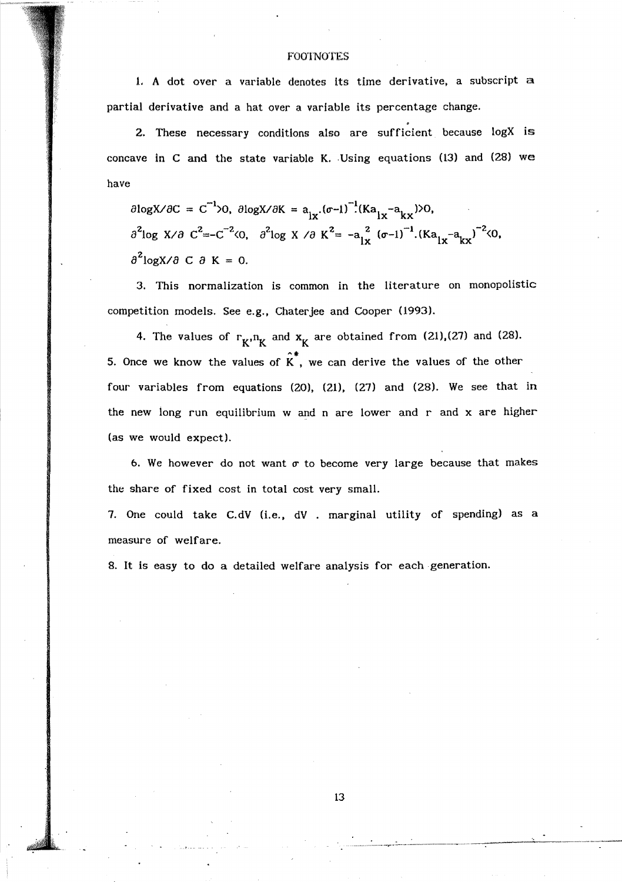### **FOOTNOTES**

1. A dot over a variable denotes its time derivative, a subscript a partial derivative and a hat over a variable its percentage change.

2. These necessary conditions also are sufficient because logX is concave in C and the state variable K. Using equations  $(13)$  and  $(28)$  we have

 $\partial \log X / \partial C = C^{-1} > 0$ ,  $\partial \log X / \partial K = a_{1x} \cdot (\sigma - 1)^{-1} (Ka_{1x} - a_{kx}) > 0$ ,  $\partial^2$ log *X*/ $\partial C^2 = -C^{-2}$ <br/>  $\langle O, O^2 \rangle = -a \frac{a}{l x} (\sigma - 1)^{-1}$ .  $(Ka \frac{1}{l x} - a \frac{l x}{l x})^{-2}$  $\partial^2$ logX/ $\partial$  C  $\partial$  K = 0.

3. This normalization is common in the literature on monopolistic competition models. See e.g., Chaterjee and Cooper (1993).

4. The values of  $r_K, n_K$  and  $x_K$  are obtained from (21),(27) and (28). 5. Once we know the values of  $\hat{K}^*$ , we can derive the values of the other four variables from equations (20), (21), (27) and (28). We see that in the new long run equilibrium  $w$  and  $n$  are lower and  $r$  and  $x$  are higher (as we would expect).

6. We however do not want  $\sigma$  to become very large because that makes the share of fixed cost in total cost very small.

7. One could take C.dV (i.e., dV . marginal utility of spending) as a measure of welfare.

8. It is easy to do a detailed welfare analysis for each generation.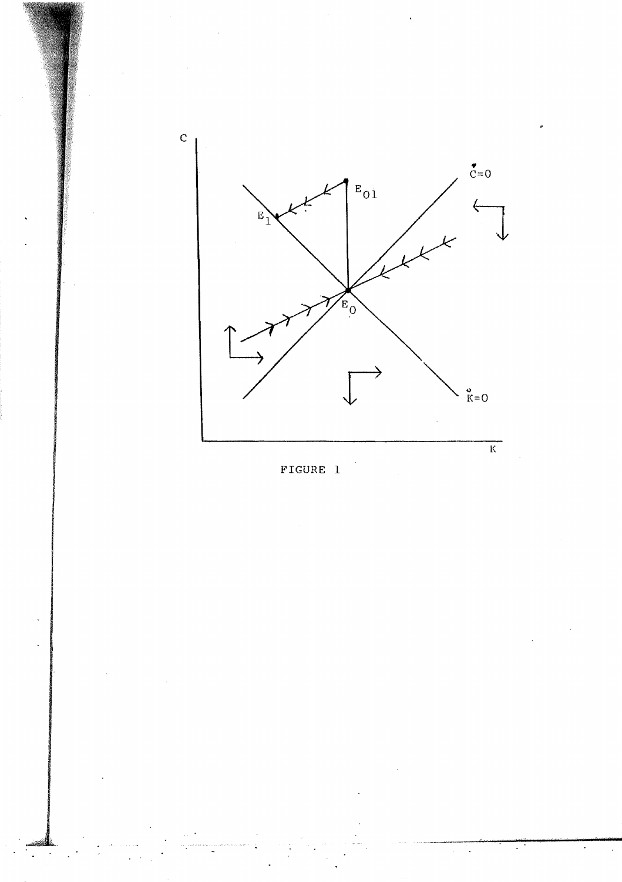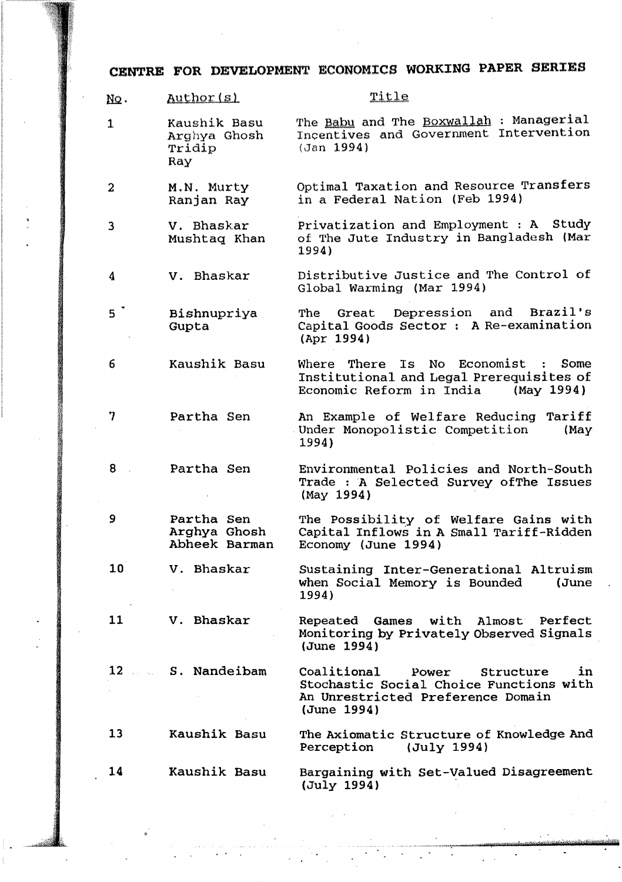# CENTRE FOR DEVELOPMENT ECONOMICS WORKING PAPER SERIES

| NQ.             | Author(s)                                     | Title                                                                                                                                  |
|-----------------|-----------------------------------------------|----------------------------------------------------------------------------------------------------------------------------------------|
| $\mathbf{1}$    | Kaushik Basu<br>Arghya Ghosh<br>Tridip<br>Ray | The Babu and The Boxwallah : Managerial<br>Incentives and Government Intervention<br>(Jan 1994)                                        |
| $\overline{a}$  | M.N. Murty<br>Ranjan Ray                      | Optimal Taxation and Resource Transfers<br>in a Federal Nation (Feb 1994)                                                              |
| 3               | V. Bhaskar<br>Mushtaq Khan                    | Privatization and Employment : A Study<br>of The Jute Industry in Bangladesh (Mar<br>1994)                                             |
| 4               | V. Bhaskar                                    | Distributive Justice and The Control of<br>Global Warming (Mar 1994)                                                                   |
| 5 <sup>2</sup>  | Bishnupriya<br>Gupta                          | Depression and Brazil's<br>The<br>Great<br>Capital Goods Sector : A Re-examination<br>(Apr 1994)                                       |
| 6               | Kaushik Basu                                  | Where There<br>Is<br>No l<br>Economist : Some<br>Institutional and Legal Prerequisites of<br>Economic Reform in India<br>(May 1994)    |
| 7               | Partha Sen                                    | An Example of Welfare Reducing Tariff<br>Under Monopolistic Competition<br>(May)<br>1994)                                              |
| 8               | Partha Sen                                    | Environmental Policies and North-South<br>Trade : A Selected Survey of The Issues<br>(May 1994)                                        |
| 9               | Partha Sen<br>Arghya Ghosh<br>Abheek Barman   | The Possibility of Welfare Gains with<br>Capital Inflows in A Small Tariff-Ridden<br>Economy (June 1994)                               |
| 10 <sub>1</sub> | V. Bhaskar                                    | Sustaining Inter-Generational Altruism<br>when Social Memory is Bounded<br>(June<br>1994)                                              |
| 11              | V. Bhaskar                                    | Repeated<br>Games with<br>Almost Perfect<br>Monitoring by Privately Observed Signals<br>(June 1994)                                    |
|                 | 12 S. Nandeibam                               | Coalitional<br>in<br>Power<br>Structure<br>Stochastic Social Choice Functions with<br>An Unrestricted Preference Domain<br>(June 1994) |
| 13              | Kaushik Basu                                  | The Axiomatic Structure of Knowledge And<br>(July 1994)<br>Perception                                                                  |
| 14              | Kaushik Basu                                  | Bargaining with Set-Valued Disagreement<br>(July 1994)                                                                                 |

.' .

. .

wid<del>-zeitik auf der fernen auf der f</del>ür

ment rolling and the second results in the second second results in the second results in the second results in

 $\downarrow$